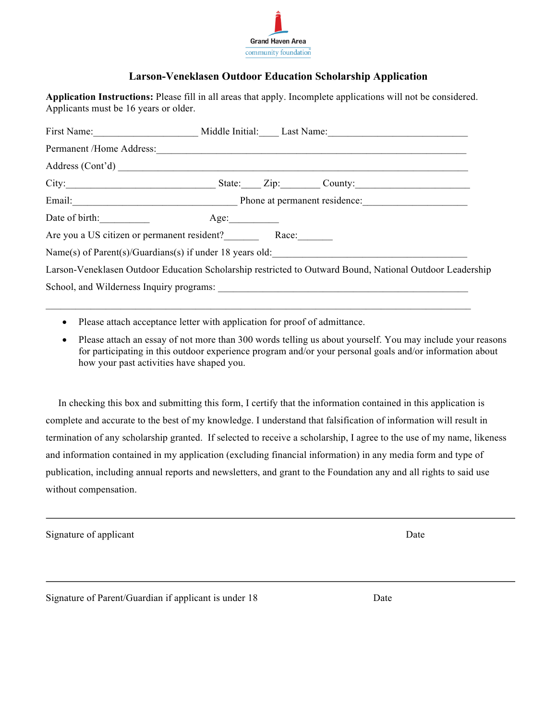

## **Larson-Veneklasen Outdoor Education Scholarship Application**

**Application Instructions:** Please fill in all areas that apply. Incomplete applications will not be considered. Applicants must be 16 years or older.

|                                                          |      |  | First Name: Middle Initial: Last Name: Last Name:                                                        |
|----------------------------------------------------------|------|--|----------------------------------------------------------------------------------------------------------|
|                                                          |      |  |                                                                                                          |
|                                                          |      |  |                                                                                                          |
|                                                          |      |  | City: City: City: Cumber County:                                                                         |
|                                                          |      |  |                                                                                                          |
| Date of birth:                                           | Age: |  |                                                                                                          |
| Are you a US citizen or permanent resident? Race:        |      |  |                                                                                                          |
| Name(s) of Parent(s)/Guardians(s) if under 18 years old: |      |  |                                                                                                          |
|                                                          |      |  | Larson-Veneklasen Outdoor Education Scholarship restricted to Outward Bound, National Outdoor Leadership |
|                                                          |      |  |                                                                                                          |
|                                                          |      |  |                                                                                                          |

 $\mathcal{L}_\text{max} = \mathcal{L}_\text{max} = \mathcal{L}_\text{max} = \mathcal{L}_\text{max} = \mathcal{L}_\text{max} = \mathcal{L}_\text{max} = \mathcal{L}_\text{max} = \mathcal{L}_\text{max} = \mathcal{L}_\text{max} = \mathcal{L}_\text{max} = \mathcal{L}_\text{max} = \mathcal{L}_\text{max} = \mathcal{L}_\text{max} = \mathcal{L}_\text{max} = \mathcal{L}_\text{max} = \mathcal{L}_\text{max} = \mathcal{L}_\text{max} = \mathcal{L}_\text{max} = \mathcal{$ 

- Please attach acceptance letter with application for proof of admittance.
- Please attach an essay of not more than 300 words telling us about yourself. You may include your reasons for participating in this outdoor experience program and/or your personal goals and/or information about how your past activities have shaped you.

 In checking this box and submitting this form, I certify that the information contained in this application is complete and accurate to the best of my knowledge. I understand that falsification of information will result in termination of any scholarship granted. If selected to receive a scholarship, I agree to the use of my name, likeness and information contained in my application (excluding financial information) in any media form and type of publication, including annual reports and newsletters, and grant to the Foundation any and all rights to said use without compensation.

Signature of applicant Date

Signature of Parent/Guardian if applicant is under 18 Date